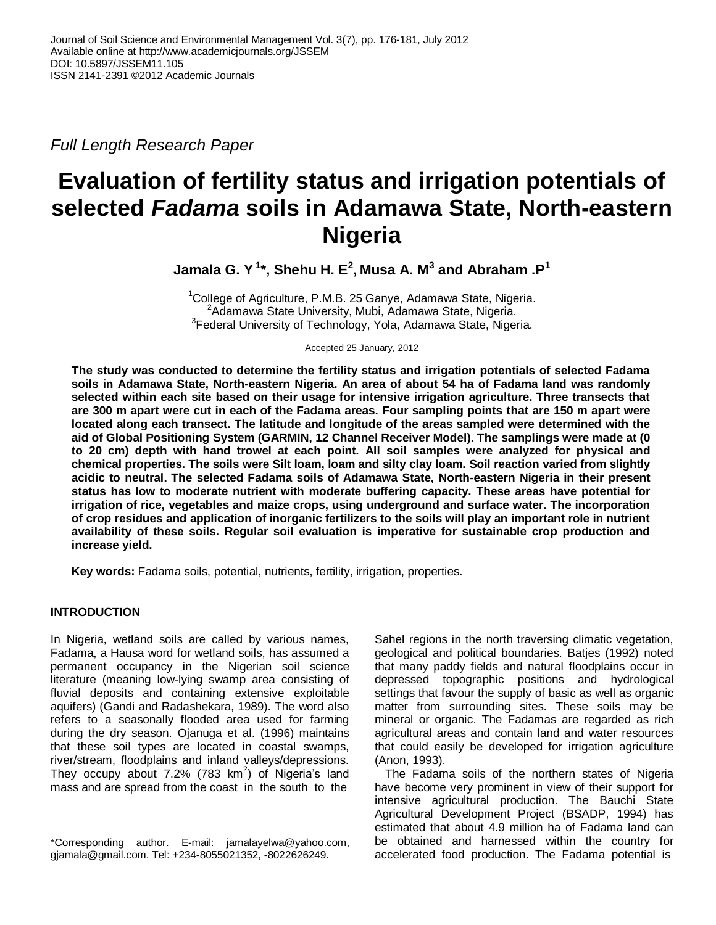*Full Length Research Paper*

# **Evaluation of fertility status and irrigation potentials of selected** *Fadama* **soils in Adamawa State, North-eastern Nigeria**

**Jamala G. Y <sup>1</sup> \*, Shehu H. E 2 , Musa A. M 3 and Abraham .P 1**

<sup>1</sup>College of Agriculture, P.M.B. 25 Ganye, Adamawa State, Nigeria. <sup>2</sup>Adamawa State University, Mubi, Adamawa State, Nigeria. <sup>3</sup> Federal University of Technology, Yola, Adamawa State, Nigeria.

Accepted 25 January, 2012

**The study was conducted to determine the fertility status and irrigation potentials of selected Fadama soils in Adamawa State, North-eastern Nigeria. An area of about 54 ha of Fadama land was randomly selected within each site based on their usage for intensive irrigation agriculture. Three transects that are 300 m apart were cut in each of the Fadama areas. Four sampling points that are 150 m apart were located along each transect. The latitude and longitude of the areas sampled were determined with the aid of Global Positioning System (GARMIN, 12 Channel Receiver Model). The samplings were made at (0 to 20 cm) depth with hand trowel at each point. All soil samples were analyzed for physical and chemical properties. The soils were Silt loam, loam and silty clay loam. Soil reaction varied from slightly acidic to neutral. The selected Fadama soils of Adamawa State, North-eastern Nigeria in their present status has low to moderate nutrient with moderate buffering capacity. These areas have potential for irrigation of rice, vegetables and maize crops, using underground and surface water. The incorporation of crop residues and application of inorganic fertilizers to the soils will play an important role in nutrient availability of these soils. Regular soil evaluation is imperative for sustainable crop production and increase yield.**

**Key words:** Fadama soils, potential, nutrients, fertility, irrigation, properties.

## **INTRODUCTION**

In Nigeria, wetland soils are called by various names, Fadama, a Hausa word for wetland soils, has assumed a permanent occupancy in the Nigerian soil science literature (meaning low-lying swamp area consisting of fluvial deposits and containing extensive exploitable aquifers) (Gandi and Radashekara, 1989). The word also refers to a seasonally flooded area used for farming during the dry season. Ojanuga et al. (1996) maintains that these soil types are located in coastal swamps, river/stream, floodplains and inland valleys/depressions. They occupy about 7.2% (783  $km^2$ ) of Nigeria's land mass and are spread from the coast in the south to the

Sahel regions in the north traversing climatic vegetation, geological and political boundaries. Batjes (1992) noted that many paddy fields and natural floodplains occur in depressed topographic positions and hydrological settings that favour the supply of basic as well as organic matter from surrounding sites. These soils may be mineral or organic. The Fadamas are regarded as rich agricultural areas and contain land and water resources that could easily be developed for irrigation agriculture (Anon, 1993).

The Fadama soils of the northern states of Nigeria have become very prominent in view of their support for intensive agricultural production. The Bauchi State Agricultural Development Project (BSADP, 1994) has estimated that about 4.9 million ha of Fadama land can be obtained and harnessed within the country for accelerated food production. The Fadama potential is

<sup>\*</sup>Corresponding author. E-mail: jamalayelwa@yahoo.com, gjamala@gmail.com. Tel: +234-8055021352, -8022626249.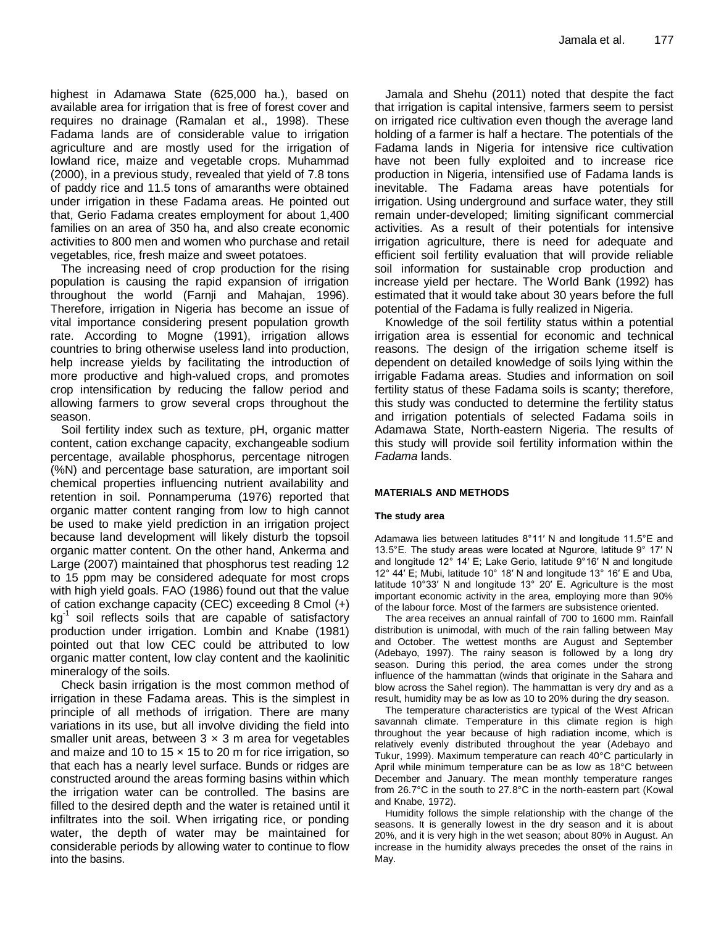highest in Adamawa State (625,000 ha.), based on available area for irrigation that is free of forest cover and requires no drainage (Ramalan et al., 1998). These Fadama lands are of considerable value to irrigation agriculture and are mostly used for the irrigation of lowland rice, maize and vegetable crops. Muhammad (2000), in a previous study, revealed that yield of 7.8 tons of paddy rice and 11.5 tons of amaranths were obtained under irrigation in these Fadama areas. He pointed out that, Gerio Fadama creates employment for about 1,400 families on an area of 350 ha, and also create economic activities to 800 men and women who purchase and retail vegetables, rice, fresh maize and sweet potatoes.

The increasing need of crop production for the rising population is causing the rapid expansion of irrigation throughout the world (Farnji and Mahajan, 1996). Therefore, irrigation in Nigeria has become an issue of vital importance considering present population growth rate. According to Mogne (1991), irrigation allows countries to bring otherwise useless land into production, help increase yields by facilitating the introduction of more productive and high-valued crops, and promotes crop intensification by reducing the fallow period and allowing farmers to grow several crops throughout the season.

Soil fertility index such as texture, pH, organic matter content, cation exchange capacity, exchangeable sodium percentage, available phosphorus, percentage nitrogen (%N) and percentage base saturation, are important soil chemical properties influencing nutrient availability and retention in soil. Ponnamperuma (1976) reported that organic matter content ranging from low to high cannot be used to make yield prediction in an irrigation project because land development will likely disturb the topsoil organic matter content. On the other hand, Ankerma and Large (2007) maintained that phosphorus test reading 12 to 15 ppm may be considered adequate for most crops with high yield goals. FAO (1986) found out that the value of cation exchange capacity (CEC) exceeding 8 Cmol (+) kg<sup>-1</sup> soil reflects soils that are capable of satisfactory production under irrigation. Lombin and Knabe (1981) pointed out that low CEC could be attributed to low organic matter content, low clay content and the kaolinitic mineralogy of the soils.

Check basin irrigation is the most common method of irrigation in these Fadama areas. This is the simplest in principle of all methods of irrigation. There are many variations in its use, but all involve dividing the field into smaller unit areas, between  $3 \times 3$  m area for vegetables and maize and 10 to 15  $\times$  15 to 20 m for rice irrigation, so that each has a nearly level surface. Bunds or ridges are constructed around the areas forming basins within which the irrigation water can be controlled. The basins are filled to the desired depth and the water is retained until it infiltrates into the soil. When irrigating rice, or ponding water, the depth of water may be maintained for considerable periods by allowing water to continue to flow into the basins.

Jamala and Shehu (2011) noted that despite the fact that irrigation is capital intensive, farmers seem to persist on irrigated rice cultivation even though the average land holding of a farmer is half a hectare. The potentials of the Fadama lands in Nigeria for intensive rice cultivation have not been fully exploited and to increase rice production in Nigeria, intensified use of Fadama lands is inevitable. The Fadama areas have potentials for irrigation. Using underground and surface water, they still remain under-developed; limiting significant commercial activities. As a result of their potentials for intensive irrigation agriculture, there is need for adequate and efficient soil fertility evaluation that will provide reliable soil information for sustainable crop production and increase yield per hectare. The World Bank (1992) has estimated that it would take about 30 years before the full potential of the Fadama is fully realized in Nigeria.

Knowledge of the soil fertility status within a potential irrigation area is essential for economic and technical reasons. The design of the irrigation scheme itself is dependent on detailed knowledge of soils lying within the irrigable Fadama areas. Studies and information on soil fertility status of these Fadama soils is scanty; therefore, this study was conducted to determine the fertility status and irrigation potentials of selected Fadama soils in Adamawa State, North-eastern Nigeria. The results of this study will provide soil fertility information within the *Fadama* lands.

#### **MATERIALS AND METHODS**

#### **The study area**

Adamawa lies between latitudes 8°11′ N and longitude 11.5°E and 13.5°E. The study areas were located at Ngurore, latitude 9° 17′ N and longitude 12° 14′ E; Lake Gerio, latitude 9°16′ N and longitude 12° 44′ E; Mubi, latitude 10° 18′ N and longitude 13° 16′ E and Uba, latitude 10°33′ N and longitude 13° 20′ E. Agriculture is the most important economic activity in the area, employing more than 90% of the labour force. Most of the farmers are subsistence oriented.

The area receives an annual rainfall of 700 to 1600 mm. Rainfall distribution is unimodal, with much of the rain falling between May and October. The wettest months are August and September (Adebayo, 1997). The rainy season is followed by a long dry season. During this period, the area comes under the strong influence of the hammattan (winds that originate in the Sahara and blow across the Sahel region). The hammattan is very dry and as a result, humidity may be as low as 10 to 20% during the dry season.

The temperature characteristics are typical of the West African savannah climate. Temperature in this climate region is high throughout the year because of high radiation income, which is relatively evenly distributed throughout the year (Adebayo and Tukur, 1999). Maximum temperature can reach 40°C particularly in April while minimum temperature can be as low as 18°C between December and January. The mean monthly temperature ranges from 26.7°C in the south to 27.8°C in the north-eastern part (Kowal and Knabe, 1972).

Humidity follows the simple relationship with the change of the seasons. It is generally lowest in the dry season and it is about 20%, and it is very high in the wet season; about 80% in August. An increase in the humidity always precedes the onset of the rains in May.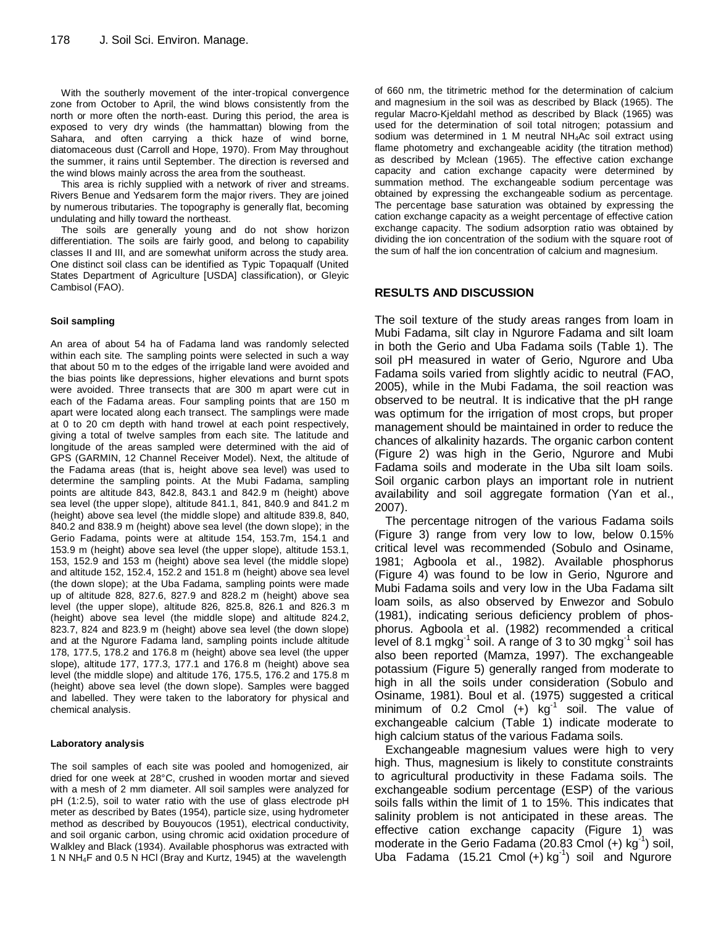With the southerly movement of the inter-tropical convergence zone from October to April, the wind blows consistently from the north or more often the north-east. During this period, the area is exposed to very dry winds (the hammattan) blowing from the Sahara, and often carrying a thick haze of wind borne, diatomaceous dust (Carroll and Hope, 1970). From May throughout the summer, it rains until September. The direction is reversed and the wind blows mainly across the area from the southeast.

This area is richly supplied with a network of river and streams. Rivers Benue and Yedsarem form the major rivers. They are joined by numerous tributaries. The topography is generally flat, becoming undulating and hilly toward the northeast.

The soils are generally young and do not show horizon differentiation. The soils are fairly good, and belong to capability classes II and III, and are somewhat uniform across the study area. One distinct soil class can be identified as Typic Topaqualf (United States Department of Agriculture [USDA] classification), or Gleyic Cambisol (FAO).

#### **Soil sampling**

An area of about 54 ha of Fadama land was randomly selected within each site. The sampling points were selected in such a way that about 50 m to the edges of the irrigable land were avoided and the bias points like depressions, higher elevations and burnt spots were avoided. Three transects that are 300 m apart were cut in each of the Fadama areas. Four sampling points that are 150 m apart were located along each transect. The samplings were made at 0 to 20 cm depth with hand trowel at each point respectively, giving a total of twelve samples from each site. The latitude and longitude of the areas sampled were determined with the aid of GPS (GARMIN, 12 Channel Receiver Model). Next, the altitude of the Fadama areas (that is, height above sea level) was used to determine the sampling points. At the Mubi Fadama, sampling points are altitude 843, 842.8, 843.1 and 842.9 m (height) above sea level (the upper slope), altitude 841.1, 841, 840.9 and 841.2 m (height) above sea level (the middle slope) and altitude 839.8, 840, 840.2 and 838.9 m (height) above sea level (the down slope); in the Gerio Fadama, points were at altitude 154, 153.7m, 154.1 and 153.9 m (height) above sea level (the upper slope), altitude 153.1, 153, 152.9 and 153 m (height) above sea level (the middle slope) and altitude 152, 152.4, 152.2 and 151.8 m (height) above sea level (the down slope); at the Uba Fadama, sampling points were made up of altitude 828, 827.6, 827.9 and 828.2 m (height) above sea level (the upper slope), altitude 826, 825.8, 826.1 and 826.3 m (height) above sea level (the middle slope) and altitude 824.2, 823.7, 824 and 823.9 m (height) above sea level (the down slope) and at the Ngurore Fadama land, sampling points include altitude 178, 177.5, 178.2 and 176.8 m (height) above sea level (the upper slope), altitude 177, 177.3, 177.1 and 176.8 m (height) above sea level (the middle slope) and altitude 176, 175.5, 176.2 and 175.8 m (height) above sea level (the down slope). Samples were bagged and labelled. They were taken to the laboratory for physical and chemical analysis.

#### **Laboratory analysis**

The soil samples of each site was pooled and homogenized, air dried for one week at 28°C, crushed in wooden mortar and sieved with a mesh of 2 mm diameter. All soil samples were analyzed for pH (1:2.5), soil to water ratio with the use of glass electrode pH meter as described by Bates (1954), particle size, using hydrometer method as described by Bouyoucos (1951), electrical conductivity, and soil organic carbon, using chromic acid oxidation procedure of Walkley and Black (1934). Available phosphorus was extracted with 1 N NH4F and 0.5 N HCl (Bray and Kurtz, 1945) at the wavelength

of 660 nm, the titrimetric method for the determination of calcium and magnesium in the soil was as described by Black (1965). The regular Macro-Kjeldahl method as described by Black (1965) was used for the determination of soil total nitrogen; potassium and sodium was determined in 1 M neutral  $NH<sub>4</sub>AC$  soil extract using flame photometry and exchangeable acidity (the titration method) as described by Mclean (1965). The effective cation exchange capacity and cation exchange capacity were determined by summation method. The exchangeable sodium percentage was obtained by expressing the exchangeable sodium as percentage. The percentage base saturation was obtained by expressing the cation exchange capacity as a weight percentage of effective cation exchange capacity. The sodium adsorption ratio was obtained by dividing the ion concentration of the sodium with the square root of the sum of half the ion concentration of calcium and magnesium.

### **RESULTS AND DISCUSSION**

The soil texture of the study areas ranges from loam in Mubi Fadama, silt clay in Ngurore Fadama and silt loam in both the Gerio and Uba Fadama soils (Table 1). The soil pH measured in water of Gerio, Ngurore and Uba Fadama soils varied from slightly acidic to neutral (FAO, 2005), while in the Mubi Fadama, the soil reaction was observed to be neutral. It is indicative that the pH range was optimum for the irrigation of most crops, but proper management should be maintained in order to reduce the chances of alkalinity hazards. The organic carbon content (Figure 2) was high in the Gerio, Ngurore and Mubi Fadama soils and moderate in the Uba silt loam soils. Soil organic carbon plays an important role in nutrient availability and soil aggregate formation (Yan et al., 2007).

The percentage nitrogen of the various Fadama soils (Figure 3) range from very low to low, below 0.15% critical level was recommended (Sobulo and Osiname, 1981; Agboola et al., 1982). Available phosphorus (Figure 4) was found to be low in Gerio, Ngurore and Mubi Fadama soils and very low in the Uba Fadama silt loam soils, as also observed by Enwezor and Sobulo (1981), indicating serious deficiency problem of phosphorus. Agboola et al. (1982) recommended a critical level of 8.1 mgkg $^1$  soil. A range of 3 to 30 mgkg $^1$  soil has also been reported (Mamza, 1997). The exchangeable potassium (Figure 5) generally ranged from moderate to high in all the soils under consideration (Sobulo and Osiname, 1981). Boul et al. (1975) suggested a critical minimum of  $0.2$  Cmol  $(+)$  kg<sup>-1</sup> soil. The value of exchangeable calcium (Table 1) indicate moderate to high calcium status of the various Fadama soils.

Exchangeable magnesium values were high to very high. Thus, magnesium is likely to constitute constraints to agricultural productivity in these Fadama soils. The exchangeable sodium percentage (ESP) of the various soils falls within the limit of 1 to 15%. This indicates that salinity problem is not anticipated in these areas. The effective cation exchange capacity (Figure 1) was moderate in the Gerio Fadama (20.83 Cmol  $(+)$  kg<sup>-1</sup>) soil, Uba Fadama (15.21 Cmol  $(+)$  kg<sup>-1</sup>) soil and Ngurore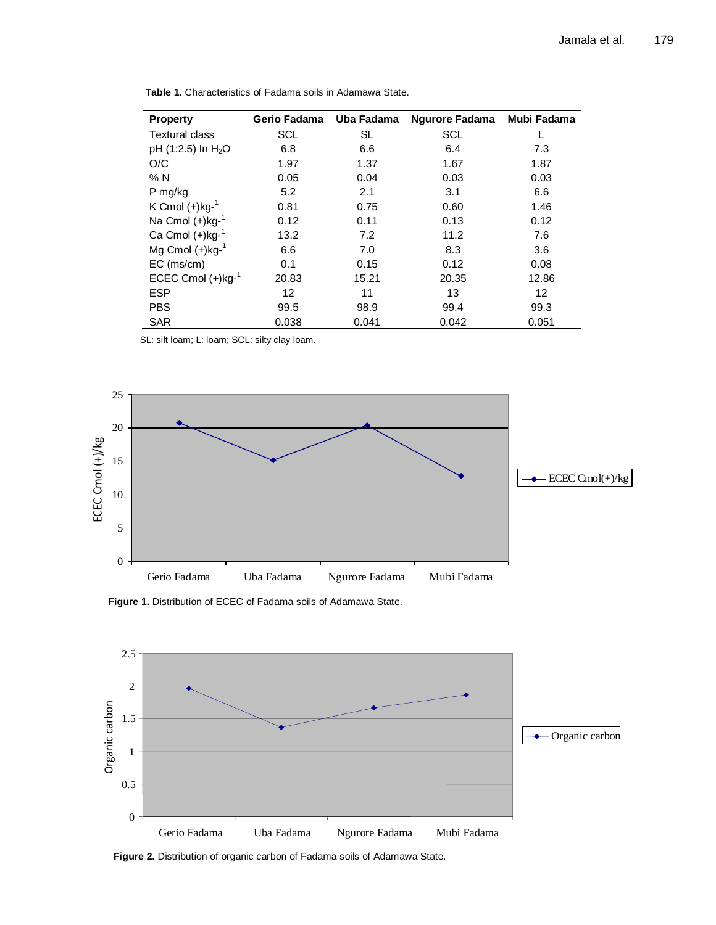| <b>Property</b>                  | Gerio Fadama | Uba Fadama | <b>Ngurore Fadama</b> | Mubi Fadama |
|----------------------------------|--------------|------------|-----------------------|-------------|
| <b>Textural class</b>            | SCL          | <b>SL</b>  | SCL                   |             |
| pH $(1:2.5)$ In H <sub>2</sub> O | 6.8          | 6.6        | 6.4                   | 7.3         |
| O/C                              | 1.97         | 1.37       | 1.67                  | 1.87        |
| % N                              | 0.05         | 0.04       | 0.03                  | 0.03        |
| P mg/kg                          | 5.2          | 2.1        | 3.1                   | 6.6         |
| K Cmol $(+)$ kg- $1$             | 0.81         | 0.75       | 0.60                  | 1.46        |
| Na Cmol $(+)$ kg- $1$            | 0.12         | 0.11       | 0.13                  | 0.12        |
| Ca Cmol $(+)$ kg- $1$            | 13.2         | 7.2        | 11.2                  | 7.6         |
| Mg Cmol $(+)$ kg- $1$            | 6.6          | 7.0        | 8.3                   | 3.6         |
| $EC$ (ms/cm)                     | 0.1          | 0.15       | 0.12                  | 0.08        |
| ECEC Cmol $(+)$ kg- $1$          | 20.83        | 15.21      | 20.35                 | 12.86       |
| <b>ESP</b>                       | 12           | 11         | 13                    | 12          |
| <b>PBS</b>                       | 99.5         | 98.9       | 99.4                  | 99.3        |
| <b>SAR</b>                       | 0.038        | 0.041      | 0.042                 | 0.051       |

**Table 1.** Characteristics of Fadama soils in Adamawa State.

SL: silt loam; L: loam; SCL: silty clay loam.



**Figure 1.** Distribution of ECEC of Fadama soils of Adamawa State.



**Figure 2.** Distribution of organic carbon of Fadama soils of Adamawa State.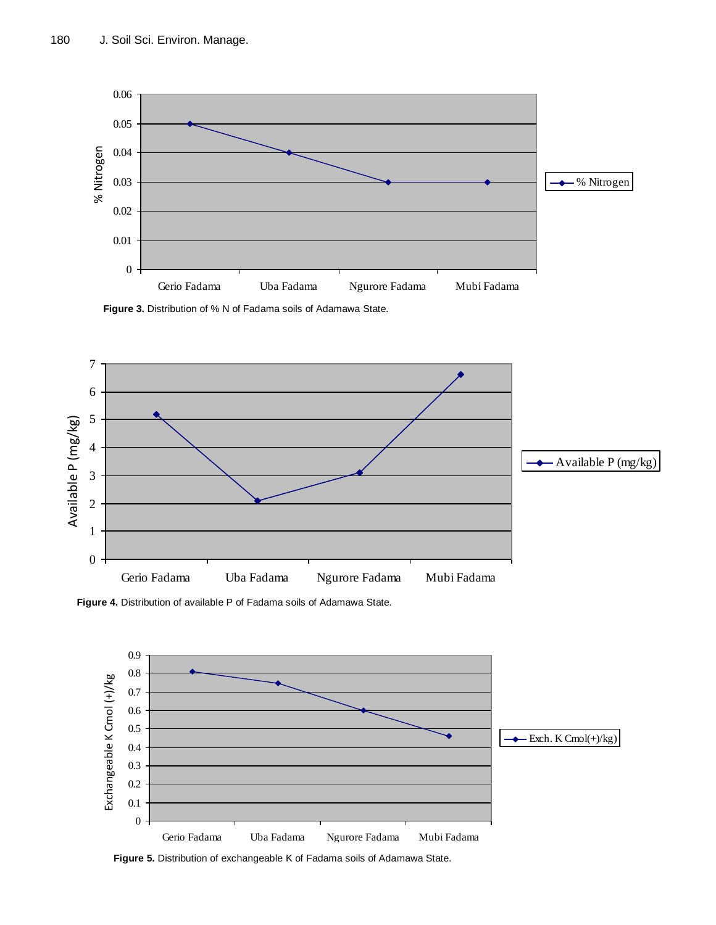

**Figure 3.** Distribution of % N of Fadama soils of Adamawa State.

![](_page_4_Figure_3.jpeg)

**Figure 4.** Distribution of available P of Fadama soils of Adamawa State.

![](_page_4_Figure_5.jpeg)

**Figure 5.** Distribution of exchangeable K of Fadama soils of Adamawa State.